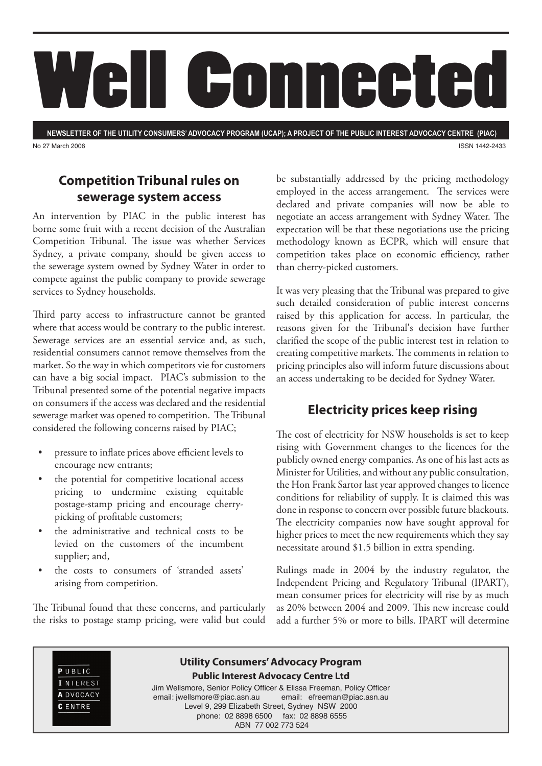

**NEWSLETTER OF THE UTILITY CONSUMERS' ADVOCACY PROGRAM (UCAP); A PROJECT OF THE PUBLIC INTEREST ADVOCACY CENTRE (PIAC)** No 27 March 2006 ISSN 1442-2433

### **Competition Tribunal rules on sewerage system access**

An intervention by PIAC in the public interest has borne some fruit with a recent decision of the Australian Competition Tribunal. The issue was whether Services Sydney, a private company, should be given access to the sewerage system owned by Sydney Water in order to compete against the public company to provide sewerage services to Sydney households.

Third party access to infrastructure cannot be granted where that access would be contrary to the public interest. Sewerage services are an essential service and, as such, residential consumers cannot remove themselves from the market. So the way in which competitors vie for customers can have a big social impact. PIAC's submission to the Tribunal presented some of the potential negative impacts on consumers if the access was declared and the residential sewerage market was opened to competition. The Tribunal considered the following concerns raised by PIAC;

- pressure to inflate prices above efficient levels to encourage new entrants;
- the potential for competitive locational access pricing to undermine existing equitable postage-stamp pricing and encourage cherrypicking of profitable customers;
- the administrative and technical costs to be levied on the customers of the incumbent supplier; and,
- the costs to consumers of 'stranded assets' arising from competition.

The Tribunal found that these concerns, and particularly the risks to postage stamp pricing, were valid but could be substantially addressed by the pricing methodology employed in the access arrangement. The services were declared and private companies will now be able to negotiate an access arrangement with Sydney Water. The expectation will be that these negotiations use the pricing methodology known as ECPR, which will ensure that competition takes place on economic efficiency, rather than cherry-picked customers.

It was very pleasing that the Tribunal was prepared to give such detailed consideration of public interest concerns raised by this application for access. In particular, the reasons given for the Tribunal's decision have further clarified the scope of the public interest test in relation to creating competitive markets. The comments in relation to pricing principles also will inform future discussions about an access undertaking to be decided for Sydney Water.

### **Electricity prices keep rising**

The cost of electricity for NSW households is set to keep rising with Government changes to the licences for the publicly owned energy companies. As one of his last acts as Minister for Utilities, and without any public consultation, the Hon Frank Sartor last year approved changes to licence conditions for reliability of supply. It is claimed this was done in response to concern over possible future blackouts. The electricity companies now have sought approval for higher prices to meet the new requirements which they say necessitate around \$1.5 billion in extra spending.

Rulings made in 2004 by the industry regulator, the Independent Pricing and Regulatory Tribunal (IPART), mean consumer prices for electricity will rise by as much as 20% between 2004 and 2009. This new increase could add a further 5% or more to bills. IPART will determine

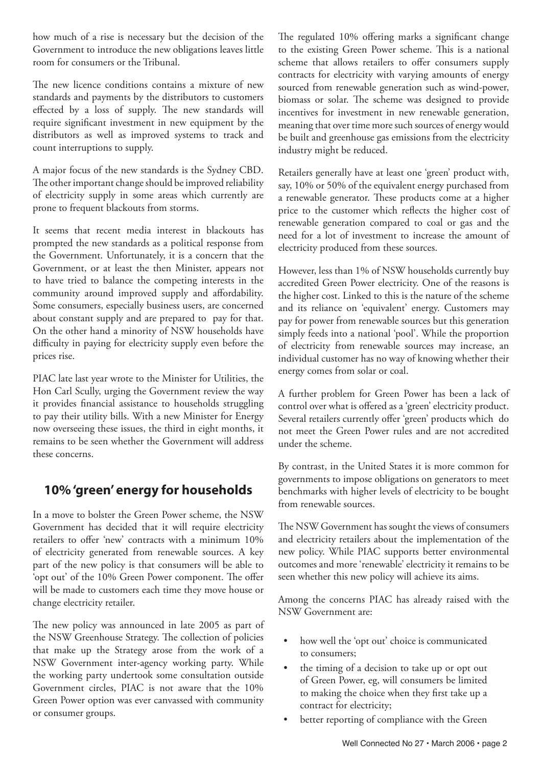how much of a rise is necessary but the decision of the Government to introduce the new obligations leaves little room for consumers or the Tribunal.

The new licence conditions contains a mixture of new standards and payments by the distributors to customers effected by a loss of supply. The new standards will require significant investment in new equipment by the distributors as well as improved systems to track and count interruptions to supply.

A major focus of the new standards is the Sydney CBD. The other important change should be improved reliability of electricity supply in some areas which currently are prone to frequent blackouts from storms.

It seems that recent media interest in blackouts has prompted the new standards as a political response from the Government. Unfortunately, it is a concern that the Government, or at least the then Minister, appears not to have tried to balance the competing interests in the community around improved supply and affordability. Some consumers, especially business users, are concerned about constant supply and are prepared to pay for that. On the other hand a minority of NSW households have difficulty in paying for electricity supply even before the prices rise.

PIAC late last year wrote to the Minister for Utilities, the Hon Carl Scully, urging the Government review the way it provides financial assistance to households struggling to pay their utility bills. With a new Minister for Energy now overseeing these issues, the third in eight months, it remains to be seen whether the Government will address these concerns.

# **10% 'green' energy for households**

In a move to bolster the Green Power scheme, the NSW Government has decided that it will require electricity retailers to offer 'new' contracts with a minimum 10% of electricity generated from renewable sources. A key part of the new policy is that consumers will be able to 'opt out' of the 10% Green Power component. The offer will be made to customers each time they move house or change electricity retailer.

The new policy was announced in late 2005 as part of the NSW Greenhouse Strategy. The collection of policies that make up the Strategy arose from the work of a NSW Government inter-agency working party. While the working party undertook some consultation outside Government circles, PIAC is not aware that the 10% Green Power option was ever canvassed with community or consumer groups.

The regulated 10% offering marks a significant change to the existing Green Power scheme. This is a national scheme that allows retailers to offer consumers supply contracts for electricity with varying amounts of energy sourced from renewable generation such as wind-power, biomass or solar. The scheme was designed to provide incentives for investment in new renewable generation, meaning that over time more such sources of energy would be built and greenhouse gas emissions from the electricity industry might be reduced.

Retailers generally have at least one 'green' product with, say, 10% or 50% of the equivalent energy purchased from a renewable generator. These products come at a higher price to the customer which reflects the higher cost of renewable generation compared to coal or gas and the need for a lot of investment to increase the amount of electricity produced from these sources.

However, less than 1% of NSW households currently buy accredited Green Power electricity. One of the reasons is the higher cost. Linked to this is the nature of the scheme and its reliance on 'equivalent' energy. Customers may pay for power from renewable sources but this generation simply feeds into a national 'pool'. While the proportion of electricity from renewable sources may increase, an individual customer has no way of knowing whether their energy comes from solar or coal.

A further problem for Green Power has been a lack of control over what is offered as a 'green' electricity product. Several retailers currently offer 'green' products which do not meet the Green Power rules and are not accredited under the scheme.

By contrast, in the United States it is more common for governments to impose obligations on generators to meet benchmarks with higher levels of electricity to be bought from renewable sources.

The NSW Government has sought the views of consumers and electricity retailers about the implementation of the new policy. While PIAC supports better environmental outcomes and more 'renewable' electricity it remains to be seen whether this new policy will achieve its aims.

Among the concerns PIAC has already raised with the NSW Government are:

- how well the 'opt out' choice is communicated to consumers;
- the timing of a decision to take up or opt out of Green Power, eg, will consumers be limited to making the choice when they first take up a contract for electricity;
- better reporting of compliance with the Green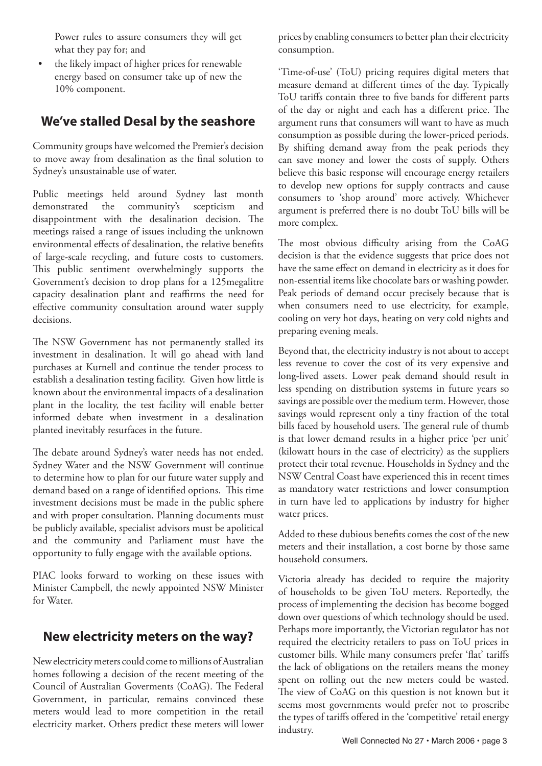Power rules to assure consumers they will get what they pay for; and

the likely impact of higher prices for renewable energy based on consumer take up of new the 10% component.

#### **We've stalled Desal by the seashore**

Community groups have welcomed the Premier's decision to move away from desalination as the final solution to Sydney's unsustainable use of water.

Public meetings held around Sydney last month demonstrated the community's scepticism and disappointment with the desalination decision. The meetings raised a range of issues including the unknown environmental effects of desalination, the relative benefits of large-scale recycling, and future costs to customers. This public sentiment overwhelmingly supports the Government's decision to drop plans for a 125megalitre capacity desalination plant and reaffirms the need for effective community consultation around water supply decisions.

The NSW Government has not permanently stalled its investment in desalination. It will go ahead with land purchases at Kurnell and continue the tender process to establish a desalination testing facility. Given how little is known about the environmental impacts of a desalination plant in the locality, the test facility will enable better informed debate when investment in a desalination planted inevitably resurfaces in the future.

The debate around Sydney's water needs has not ended. Sydney Water and the NSW Government will continue to determine how to plan for our future water supply and demand based on a range of identified options. This time investment decisions must be made in the public sphere and with proper consultation. Planning documents must be publicly available, specialist advisors must be apolitical and the community and Parliament must have the opportunity to fully engage with the available options.

PIAC looks forward to working on these issues with Minister Campbell, the newly appointed NSW Minister for Water.

#### **New electricity meters on the way?**

New electricity meters could come to millions of Australian homes following a decision of the recent meeting of the Council of Australian Goverments (CoAG). The Federal Government, in particular, remains convinced these meters would lead to more competition in the retail electricity market. Others predict these meters will lower prices by enabling consumers to better plan their electricity consumption.

'Time-of-use' (ToU) pricing requires digital meters that measure demand at different times of the day. Typically ToU tariffs contain three to five bands for different parts of the day or night and each has a different price. The argument runs that consumers will want to have as much consumption as possible during the lower-priced periods. By shifting demand away from the peak periods they can save money and lower the costs of supply. Others believe this basic response will encourage energy retailers to develop new options for supply contracts and cause consumers to 'shop around' more actively. Whichever argument is preferred there is no doubt ToU bills will be more complex.

The most obvious difficulty arising from the CoAG decision is that the evidence suggests that price does not have the same effect on demand in electricity as it does for non-essential items like chocolate bars or washing powder. Peak periods of demand occur precisely because that is when consumers need to use electricity, for example, cooling on very hot days, heating on very cold nights and preparing evening meals.

Beyond that, the electricity industry is not about to accept less revenue to cover the cost of its very expensive and long-lived assets. Lower peak demand should result in less spending on distribution systems in future years so savings are possible over the medium term. However, those savings would represent only a tiny fraction of the total bills faced by household users. The general rule of thumb is that lower demand results in a higher price 'per unit' (kilowatt hours in the case of electricity) as the suppliers protect their total revenue. Households in Sydney and the NSW Central Coast have experienced this in recent times as mandatory water restrictions and lower consumption in turn have led to applications by industry for higher water prices.

Added to these dubious benefits comes the cost of the new meters and their installation, a cost borne by those same household consumers.

Victoria already has decided to require the majority of households to be given ToU meters. Reportedly, the process of implementing the decision has become bogged down over questions of which technology should be used. Perhaps more importantly, the Victorian regulator has not required the electricity retailers to pass on ToU prices in customer bills. While many consumers prefer 'flat' tariffs the lack of obligations on the retailers means the money spent on rolling out the new meters could be wasted. The view of CoAG on this question is not known but it seems most governments would prefer not to proscribe the types of tariffs offered in the 'competitive' retail energy industry.